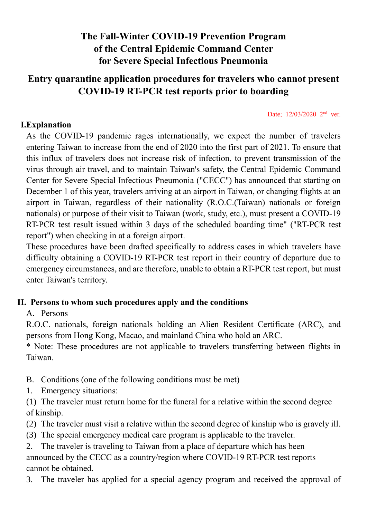# **The Fall-Winter COVID-19 Prevention Program of the Central Epidemic Command Center for Severe Special Infectious Pneumonia**

### **Entry quarantine application procedures for travelers who cannot present COVID-19 RT-PCR test reports prior to boarding**

Date: 12/03/2020 2<sup>nd</sup> ver.

#### **I.Explanation**

As the COVID-19 pandemic rages internationally, we expect the number of travelers entering Taiwan to increase from the end of 2020 into the first part of 2021. To ensure that this influx of travelers does not increase risk of infection, to prevent transmission of the virus through air travel, and to maintain Taiwan's safety, the Central Epidemic Command Center for Severe Special Infectious Pneumonia ("CECC") has announced that starting on December 1 of this year, travelers arriving at an airport in Taiwan, or changing flights at an airport in Taiwan, regardless of their nationality (R.O.C.(Taiwan) nationals or foreign nationals) or purpose of their visit to Taiwan (work, study, etc.), must present a COVID-19 RT-PCR test result issued within 3 days of the scheduled boarding time" ("RT-PCR test report") when checking in at a foreign airport.

These procedures have been drafted specifically to address cases in which travelers have difficulty obtaining a COVID-19 RT-PCR test report in their country of departure due to emergency circumstances, and are therefore, unable to obtain a RT-PCR test report, but must enter Taiwan's territory.

#### **II. Persons to whom such procedures apply and the conditions**

#### A. Persons

R.O.C. nationals, foreign nationals holding an Alien Resident Certificate (ARC), and persons from Hong Kong, Macao, and mainland China who hold an ARC.

\* Note: These procedures are not applicable to travelers transferring between flights in Taiwan.

- B. Conditions (one of the following conditions must be met)
- 1. Emergency situations:

(1) The traveler must return home for the funeral for a relative within the second degree of kinship.

(2) The traveler must visit a relative within the second degree of kinship who is gravely ill.

(3) The special emergency medical care program is applicable to the traveler.

2. The traveler is traveling to Taiwan from a place of departure which has been announced by the CECC as a country/region where COVID-19 RT-PCR test reports cannot be obtained.

3. The traveler has applied for a special agency program and received the approval of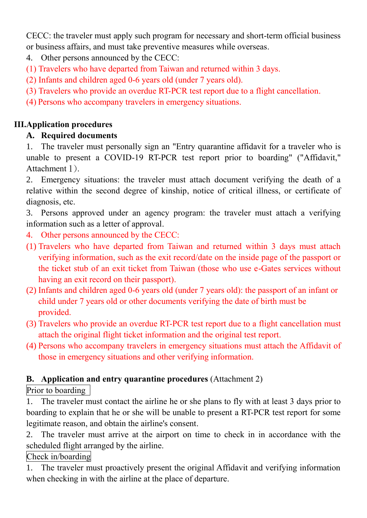CECC: the traveler must apply such program for necessary and short-term official business or business affairs, and must take preventive measures while overseas.

4. Other persons announced by the CECC:

(1) Travelers who have departed from Taiwan and returned within 3 days.

(2) Infants and children aged 0-6 years old (under 7 years old).

- (3) Travelers who provide an overdue RT-PCR test report due to a flight cancellation.
- (4) Persons who accompany travelers in emergency situations.

## **III.Application procedures**

# **A. Required documents**

1. The traveler must personally sign an "Entry quarantine affidavit for a traveler who is unable to present a COVID-19 RT-PCR test report prior to boarding" ("Affidavit," Attachment 1).

2. Emergency situations: the traveler must attach document verifying the death of a relative within the second degree of kinship, notice of critical illness, or certificate of diagnosis, etc.

3. Persons approved under an agency program: the traveler must attach a verifying information such as a letter of approval.

- 4. Other persons announced by the CECC:
- (1) Travelers who have departed from Taiwan and returned within 3 days must attach verifying information, such as the exit record/date on the inside page of the passport or the ticket stub of an exit ticket from Taiwan (those who use e-Gates services without having an exit record on their passport).
- (2) Infants and children aged 0-6 years old (under 7 years old): the passport of an infant or child under 7 years old or other documents verifying the date of birth must be provided.
- (3) Travelers who provide an overdue RT-PCR test report due to a flight cancellation must attach the original flight ticket information and the original test report.
- (4) Persons who accompany travelers in emergency situations must attach the Affidavit of those in emergency situations and other verifying information.

## **B. Application and entry quarantine procedures** (Attachment 2)

## Prior to boarding

1. The traveler must contact the airline he or she plans to fly with at least 3 days prior to boarding to explain that he or she will be unable to present a RT-PCR test report for some legitimate reason, and obtain the airline's consent.

2. The traveler must arrive at the airport on time to check in in accordance with the scheduled flight arranged by the airline.

#### Check in/boarding

1. The traveler must proactively present the original Affidavit and verifying information when checking in with the airline at the place of departure.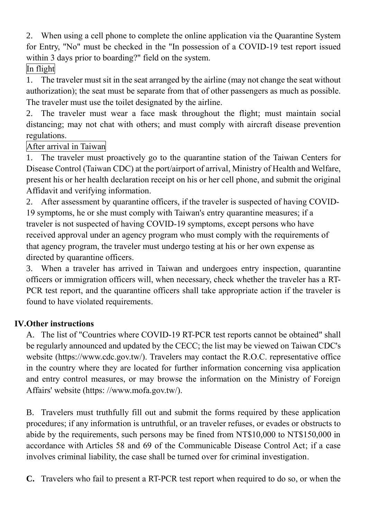2. When using a cell phone to complete the online application via the Quarantine System for Entry, "No" must be checked in the "In possession of a COVID-19 test report issued within 3 days prior to boarding?" field on the system.

# In flight

1. The traveler must sit in the seat arranged by the airline (may not change the seat without authorization); the seat must be separate from that of other passengers as much as possible. The traveler must use the toilet designated by the airline.

2. The traveler must wear a face mask throughout the flight; must maintain social distancing; may not chat with others; and must comply with aircraft disease prevention regulations.

## After arrival in Taiwan

1. The traveler must proactively go to the quarantine station of the Taiwan Centers for Disease Control (Taiwan CDC) at the port/airport of arrival, Ministry of Health and Welfare, present his or her health declaration receipt on his or her cell phone, and submit the original Affidavit and verifying information.

2. After assessment by quarantine officers, if the traveler is suspected of having COVID-19 symptoms, he or she must comply with Taiwan's entry quarantine measures; if a traveler is not suspected of having COVID-19 symptoms, except persons who have received approval under an agency program who must comply with the requirements of that agency program, the traveler must undergo testing at his or her own expense as directed by quarantine officers.

3. When a traveler has arrived in Taiwan and undergoes entry inspection, quarantine officers or immigration officers will, when necessary, check whether the traveler has a RT-PCR test report, and the quarantine officers shall take appropriate action if the traveler is found to have violated requirements.

## **IV.Other instructions**

A. The list of "Countries where COVID-19 RT-PCR test reports cannot be obtained" shall be regularly announced and updated by the CECC; the list may be viewed on Taiwan CDC's website (https://www.cdc.gov.tw/). Travelers may contact the R.O.C. representative office in the country where they are located for further information concerning visa application and entry control measures, or may browse the information on the Ministry of Foreign Affairs' website (https: //www.mofa.gov.tw/).

B. Travelers must truthfully fill out and submit the forms required by these application procedures; if any information is untruthful, or an traveler refuses, or evades or obstructs to abide by the requirements, such persons may be fined from NT\$10,000 to NT\$150,000 in accordance with Articles 58 and 69 of the Communicable Disease Control Act; if a case involves criminal liability, the case shall be turned over for criminal investigation.

**C.** Travelers who fail to present a RT-PCR test report when required to do so, or when the